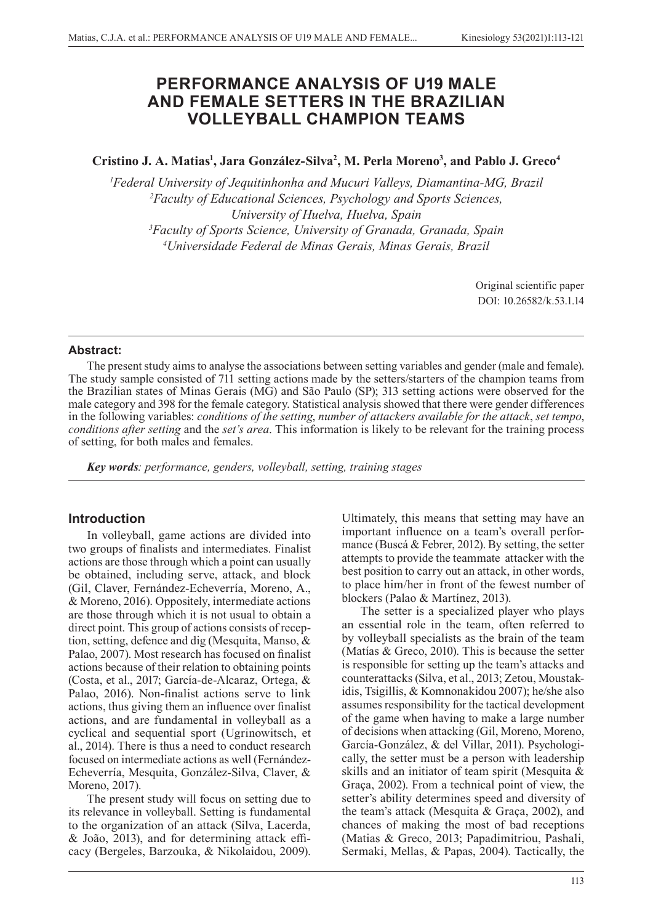# **PERFORMANCE ANALYSIS OF U19 MALE AND FEMALE SETTERS IN THE BRAZILIAN VOLLEYBALL CHAMPION TEAMS**

**Cristino J. A. Matias1 , Jara González-Silva2 , M. Perla Moreno3 , and Pablo J. Greco4**

 *Federal University of Jequitinhonha and Mucuri Valleys, Diamantina-MG, Brazil Faculty of Educational Sciences, Psychology and Sports Sciences, University of Huelva, Huelva, Spain Faculty of Sports Science, University of Granada, Granada, Spain Universidade Federal de Minas Gerais, Minas Gerais, Brazil*

> Original scientific paper DOI: 10.26582/k.53.1.14

# **Abstract:**

The present study aims to analyse the associations between setting variables and gender (male and female). The study sample consisted of 711 setting actions made by the setters/starters of the champion teams from the Brazilian states of Minas Gerais (MG) and São Paulo (SP); 313 setting actions were observed for the male category and 398 for the female category. Statistical analysis showed that there were gender differences in the following variables: *conditions of the setting*, *number of attackers available for the attack*, *set tempo*, *conditions after setting* and the *set's area*. This information is likely to be relevant for the training process of setting, for both males and females.

*Key words: performance, genders, volleyball, setting, training stages*

# **Introduction**

In volleyball, game actions are divided into two groups of finalists and intermediates. Finalist actions are those through which a point can usually be obtained, including serve, attack, and block (Gil, Claver, Fernández-Echeverría, Moreno, A., & Moreno, 2016). Oppositely, intermediate actions are those through which it is not usual to obtain a direct point. This group of actions consists of reception, setting, defence and dig (Mesquita, Manso, & Palao, 2007). Most research has focused on finalist actions because of their relation to obtaining points (Costa, et al., 2017; García-de-Alcaraz, Ortega, & Palao, 2016). Non-finalist actions serve to link actions, thus giving them an influence over finalist actions, and are fundamental in volleyball as a cyclical and sequential sport (Ugrinowitsch, et al., 2014). There is thus a need to conduct research focused on intermediate actions as well (Fernández-Echeverría, Mesquita, González-Silva, Claver, & Moreno, 2017).

The present study will focus on setting due to its relevance in volleyball. Setting is fundamental to the organization of an attack (Silva, Lacerda, & João, 2013), and for determining attack efficacy (Bergeles, Barzouka, & Nikolaidou, 2009).

Ultimately, this means that setting may have an important influence on a team's overall performance (Buscá & Febrer, 2012). By setting, the setter attempts to provide the teammate attacker with the best position to carry out an attack, in other words, to place him/her in front of the fewest number of blockers (Palao & Martínez, 2013).

The setter is a specialized player who plays an essential role in the team, often referred to by volleyball specialists as the brain of the team (Matías & Greco, 2010). This is because the setter is responsible for setting up the team's attacks and counterattacks (Silva, et al., 2013; Zetou, Moustakidis, Tsigillis, & Komnonakidou 2007); he/she also assumes responsibility for the tactical development of the game when having to make a large number of decisions when attacking (Gil, Moreno, Moreno, García-González, & del Villar, 2011). Psychologically, the setter must be a person with leadership skills and an initiator of team spirit (Mesquita & Graça, 2002). From a technical point of view, the setter's ability determines speed and diversity of the team's attack (Mesquita & Graça, 2002), and chances of making the most of bad receptions (Matias & Greco, 2013; Papadimitriou, Pashali, Sermaki, Mellas, & Papas, 2004). Tactically, the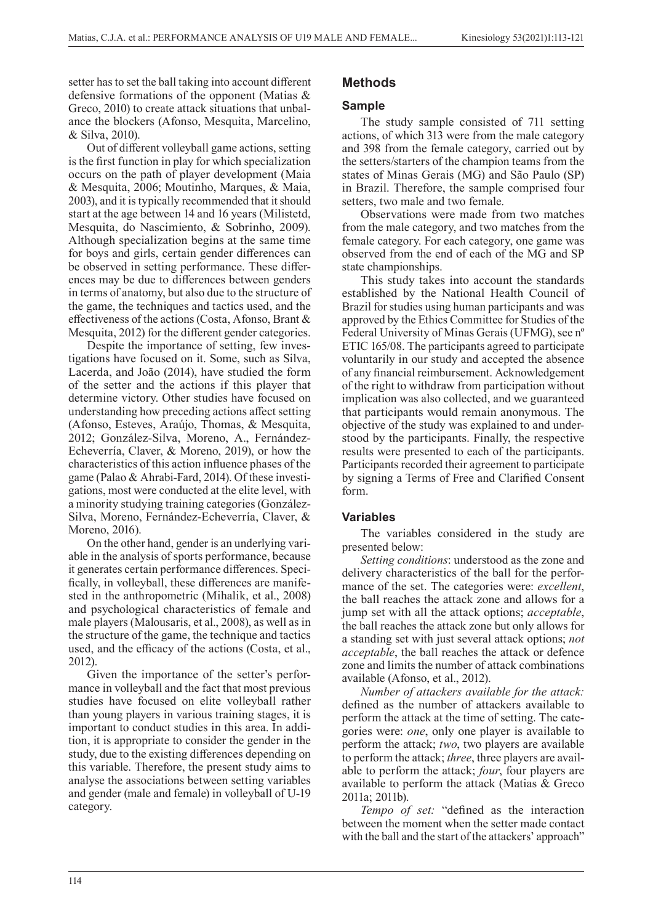setter has to set the ball taking into account different defensive formations of the opponent (Matias & Greco, 2010) to create attack situations that unbalance the blockers (Afonso, Mesquita, Marcelino, & Silva, 2010).

Out of different volleyball game actions, setting is the first function in play for which specialization occurs on the path of player development (Maia & Mesquita, 2006; Moutinho, Marques, & Maia, 2003), and it is typically recommended that it should start at the age between 14 and 16 years (Milistetd, Mesquita, do Nascimiento, & Sobrinho, 2009). Although specialization begins at the same time for boys and girls, certain gender differences can be observed in setting performance. These differences may be due to differences between genders in terms of anatomy, but also due to the structure of the game, the techniques and tactics used, and the effectiveness of the actions (Costa, Afonso, Brant & Mesquita, 2012) for the different gender categories.

Despite the importance of setting, few investigations have focused on it. Some, such as Silva, Lacerda, and João (2014), have studied the form of the setter and the actions if this player that determine victory. Other studies have focused on understanding how preceding actions affect setting (Afonso, Esteves, Araújo, Thomas, & Mesquita, 2012; González-Silva, Moreno, A., Fernández-Echeverría, Claver, & Moreno, 2019), or how the characteristics of this action influence phases of the game (Palao & Ahrabi-Fard, 2014). Of these investigations, most were conducted at the elite level, with a minority studying training categories (González-Silva, Moreno, Fernández-Echeverría, Claver, & Moreno, 2016).

On the other hand, gender is an underlying variable in the analysis of sports performance, because it generates certain performance differences. Specifically, in volleyball, these differences are manifested in the anthropometric (Mihalik, et al., 2008) and psychological characteristics of female and male players (Malousaris, et al., 2008), as well as in the structure of the game, the technique and tactics used, and the efficacy of the actions (Costa, et al., 2012).

Given the importance of the setter's performance in volleyball and the fact that most previous studies have focused on elite volleyball rather than young players in various training stages, it is important to conduct studies in this area. In addition, it is appropriate to consider the gender in the study, due to the existing differences depending on this variable. Therefore, the present study aims to analyse the associations between setting variables and gender (male and female) in volleyball of U-19 category.

# **Methods**

#### **Sample**

The study sample consisted of 711 setting actions, of which 313 were from the male category and 398 from the female category, carried out by the setters/starters of the champion teams from the states of Minas Gerais (MG) and São Paulo (SP) in Brazil. Therefore, the sample comprised four setters, two male and two female.

Observations were made from two matches from the male category, and two matches from the female category. For each category, one game was observed from the end of each of the MG and SP state championships.

This study takes into account the standards established by the National Health Council of Brazil for studies using human participants and was approved by the Ethics Committee for Studies of the Federal University of Minas Gerais (UFMG), see nº ETIC 165/08. The participants agreed to participate voluntarily in our study and accepted the absence of any financial reimbursement. Acknowledgement of the right to withdraw from participation without implication was also collected, and we guaranteed that participants would remain anonymous. The objective of the study was explained to and understood by the participants. Finally, the respective results were presented to each of the participants. Participants recorded their agreement to participate by signing a Terms of Free and Clarified Consent form.

### **Variables**

The variables considered in the study are presented below:

*Setting conditions*: understood as the zone and delivery characteristics of the ball for the performance of the set. The categories were: *excellent*, the ball reaches the attack zone and allows for a jump set with all the attack options; *acceptable*, the ball reaches the attack zone but only allows for a standing set with just several attack options; *not acceptable*, the ball reaches the attack or defence zone and limits the number of attack combinations available (Afonso, et al., 2012).

*Number of attackers available for the attack:*  defined as the number of attackers available to perform the attack at the time of setting. The categories were: *one*, only one player is available to perform the attack; *two*, two players are available to perform the attack; *three*, three players are available to perform the attack; *four*, four players are available to perform the attack (Matias & Greco 2011a; 2011b).

*Tempo of set:* "defined as the interaction between the moment when the setter made contact with the ball and the start of the attackers' approach"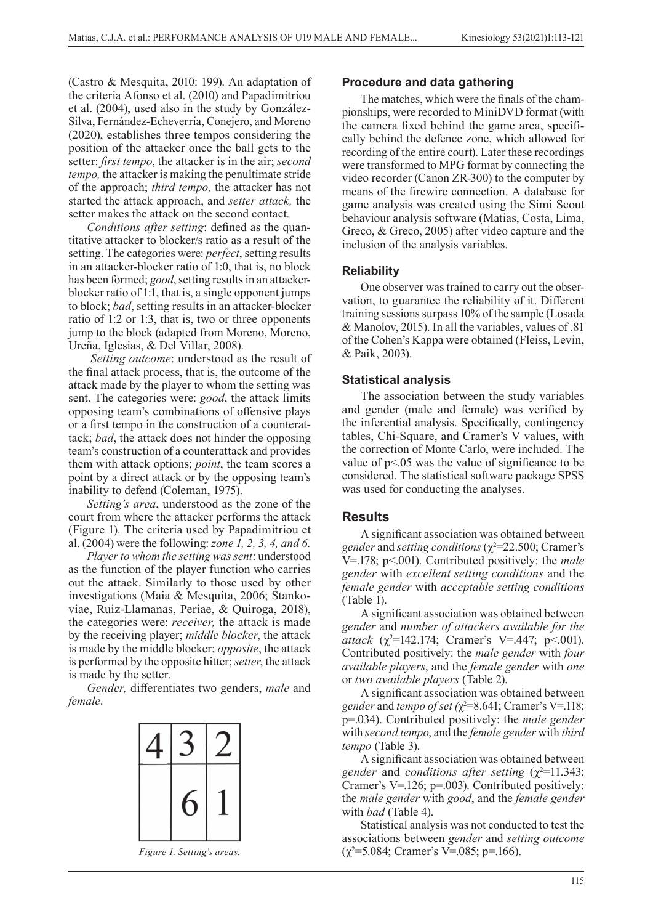(Castro & Mesquita, 2010: 199). An adaptation of the criteria Afonso et al. (2010) and Papadimitriou et al. (2004), used also in the study by González-Silva, Fernández-Echeverría, Conejero, and Moreno (2020), establishes three tempos considering the position of the attacker once the ball gets to the setter: *first tempo*, the attacker is in the air; *second tempo,* the attacker is making the penultimate stride of the approach; *third tempo,* the attacker has not started the attack approach, and *setter attack,* the setter makes the attack on the second contact*.*

*Conditions after setting*: defined as the quantitative attacker to blocker/s ratio as a result of the setting. The categories were: *perfect*, setting results in an attacker-blocker ratio of 1:0, that is, no block has been formed; *good*, setting results in an attackerblocker ratio of 1:1, that is, a single opponent jumps to block; *bad*, setting results in an attacker-blocker ratio of 1:2 or 1:3, that is, two or three opponents jump to the block (adapted from Moreno, Moreno, Ureña, Iglesias, & Del Villar, 2008).

*Setting outcome*: understood as the result of the final attack process, that is, the outcome of the attack made by the player to whom the setting was sent. The categories were: *good*, the attack limits opposing team's combinations of offensive plays or a first tempo in the construction of a counterattack; *bad*, the attack does not hinder the opposing team's construction of a counterattack and provides them with attack options; *point*, the team scores a point by a direct attack or by the opposing team's inability to defend (Coleman, 1975).

*Setting's area*, understood as the zone of the court from where the attacker performs the attack (Figure 1). The criteria used by Papadimitriou et al. (2004) were the following: *zone 1, 2, 3, 4, and 6.*

*Player to whom the setting was sent*: understood as the function of the player function who carries out the attack. Similarly to those used by other investigations (Maia & Mesquita, 2006; Stankoviae, Ruiz-Llamanas, Periae, & Quiroga, 2018), the categories were: *receiver,* the attack is made by the receiving player; *middle blocker*, the attack is made by the middle blocker; *opposite*, the attack is performed by the opposite hitter; *setter*, the attack is made by the setter.

*Gender,* differentiates two genders, *male* and *female*.



### **Procedure and data gathering**

The matches, which were the finals of the championships, were recorded to MiniDVD format (with the camera fixed behind the game area, specifically behind the defence zone, which allowed for recording of the entire court). Later these recordings were transformed to MPG format by connecting the video recorder (Canon ZR-300) to the computer by means of the firewire connection. A database for game analysis was created using the Simi Scout behaviour analysis software (Matias, Costa, Lima, Greco, & Greco, 2005) after video capture and the inclusion of the analysis variables.

# **Reliability**

One observer was trained to carry out the observation, to guarantee the reliability of it. Different training sessions surpass 10% of the sample (Losada & Manolov, 2015). In all the variables, values of .81 of the Cohen's Kappa were obtained (Fleiss, Levin, & Paik, 2003).

# **Statistical analysis**

The association between the study variables and gender (male and female) was verified by the inferential analysis. Specifically, contingency tables, Chi-Square, and Cramer's V values, with the correction of Monte Carlo, were included. The value of  $p$ <.05 was the value of significance to be considered. The statistical software package SPSS was used for conducting the analyses.

# **Results**

A significant association was obtained between *gender* and *setting conditions* ( $\chi^2$ =22.500; Cramer's V=.178; p<.001). Contributed positively: the *male gender* with *excellent setting conditions* and the *female gender* with *acceptable setting conditions* (Table 1).

A significant association was obtained between *gender* and *number of attackers available for the attack*  $(\chi^2 = 142.174;$  Cramer's V=.447; p<.001). Contributed positively: the *male gender* with *four available players*, and the *female gender* with *one* or *two available players* (Table 2).

A significant association was obtained between *gender* and *tempo of set*  $(\chi^2 = 8.641)$ ; Cramer's V=.118; p=.034). Contributed positively: the *male gender* with *second tempo*, and the *female gender* with *third tempo* (Table 3).

A significant association was obtained between gender and *conditions after setting*  $(\chi^2=11.343;$ Cramer's V=.126; p=.003). Contributed positively: the *male gender* with *good*, and the *female gender*  with *bad* (Table 4).

Statistical analysis was not conducted to test the associations between *gender* and *setting outcome Figure 1. Setting's areas.*  $(\gamma^2 = 5.084; \text{Cramer's V} = 0.085; \text{p} = 166).$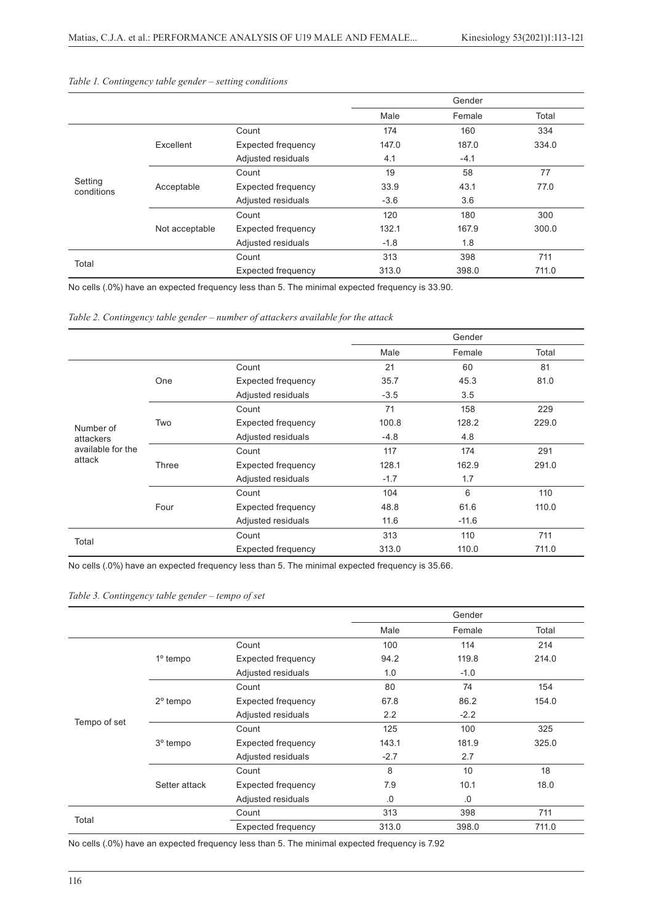|                       |                |                           |        | Gender |       |
|-----------------------|----------------|---------------------------|--------|--------|-------|
|                       |                |                           | Male   | Female | Total |
| Setting<br>conditions | Excellent      | Count                     | 174    | 160    | 334   |
|                       |                | <b>Expected frequency</b> | 147.0  | 187.0  | 334.0 |
|                       |                | Adjusted residuals        | 4.1    | $-4.1$ |       |
|                       |                | Count                     | 19     | 58     | 77    |
|                       | Acceptable     | Expected frequency        | 33.9   | 43.1   | 77.0  |
|                       |                | Adjusted residuals        | $-3.6$ | 3.6    |       |
|                       |                | Count                     | 120    | 180    | 300   |
|                       | Not acceptable | Expected frequency        | 132.1  | 167.9  | 300.0 |
|                       |                | Adjusted residuals        | $-1.8$ | 1.8    |       |
| Total                 |                | Count                     | 313    | 398    | 711   |
|                       |                | <b>Expected frequency</b> | 313.0  | 398.0  | 711.0 |

#### *Table 1. Contingency table gender – setting conditions*

No cells (.0%) have an expected frequency less than 5. The minimal expected frequency is 33.90.

*Table 2. Contingency table gender – number of attackers available for the attack*

|                   |       |                           |        | Gender  |       |
|-------------------|-------|---------------------------|--------|---------|-------|
|                   |       |                           | Male   | Female  | Total |
|                   | One   | Count                     | 21     | 60      | 81    |
|                   |       | <b>Expected frequency</b> | 35.7   | 45.3    | 81.0  |
|                   |       | Adjusted residuals        | $-3.5$ | 3.5     |       |
|                   | Two   | Count                     | 71     | 158     | 229   |
| Number of         |       | <b>Expected frequency</b> | 100.8  | 128.2   | 229.0 |
| attackers         |       | Adjusted residuals        | $-4.8$ | 4.8     |       |
| available for the | Three | Count                     | 117    | 174     | 291   |
| attack            |       | <b>Expected frequency</b> | 128.1  | 162.9   | 291.0 |
|                   |       | Adjusted residuals        | $-1.7$ | 1.7     |       |
|                   | Four  | Count                     | 104    | 6       | 110   |
|                   |       | <b>Expected frequency</b> | 48.8   | 61.6    | 110.0 |
|                   |       | Adjusted residuals        | 11.6   | $-11.6$ |       |
| Total             |       | Count                     | 313    | 110     | 711   |
|                   |       | Expected frequency        | 313.0  | 110.0   | 711.0 |

No cells (.0%) have an expected frequency less than 5. The minimal expected frequency is 35.66.

#### *Table 3. Contingency table gender – tempo of set*

|              |                      |                           |        | Gender          |       |
|--------------|----------------------|---------------------------|--------|-----------------|-------|
|              |                      |                           | Male   | Female          | Total |
|              | $1^\circ$ tempo      | Count                     | 100    | 114             | 214   |
|              |                      | <b>Expected frequency</b> | 94.2   | 119.8           | 214.0 |
|              |                      | Adjusted residuals        | 1.0    | $-1.0$          |       |
|              | $2^{\circ}$ tempo    | Count                     | 80     | 74              | 154   |
|              |                      | Expected frequency        | 67.8   | 86.2            | 154.0 |
|              |                      | Adjusted residuals        | 2.2    | $-2.2$          |       |
| Tempo of set |                      | Count                     | 125    | 100             | 325   |
|              | 3 <sup>°</sup> tempo | <b>Expected frequency</b> | 143.1  | 181.9           | 325.0 |
|              |                      | Adjusted residuals        | $-2.7$ | 2.7             |       |
|              | Setter attack        | Count                     | 8      | 10 <sup>°</sup> | 18    |
|              |                      | Expected frequency        | 7.9    | 10.1            | 18.0  |
|              |                      | Adjusted residuals        | .0     | .0              |       |
| Total        |                      | Count                     | 313    | 398             | 711   |
|              |                      | Expected frequency        | 313.0  | 398.0           | 711.0 |

No cells (.0%) have an expected frequency less than 5. The minimal expected frequency is 7.92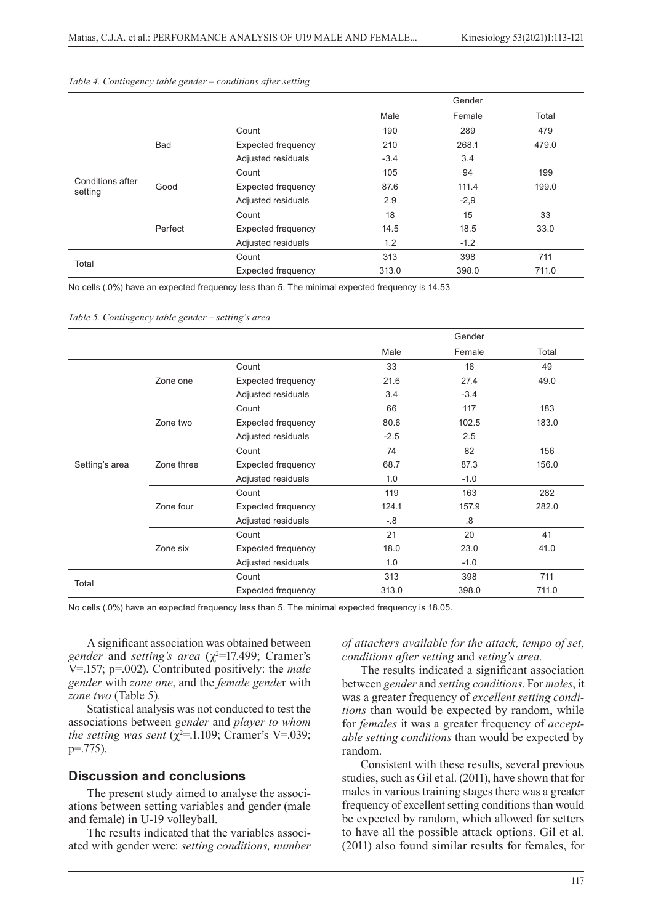|                             |         |                    |        | Gender |       |
|-----------------------------|---------|--------------------|--------|--------|-------|
|                             |         |                    | Male   | Female | Total |
|                             |         | Count              | 190    | 289    | 479   |
|                             | Bad     | Expected frequency | 210    | 268.1  | 479.0 |
|                             |         | Adjusted residuals | $-3.4$ | 3.4    |       |
|                             |         | Count              | 105    | 94     | 199   |
| Conditions after<br>setting | Good    | Expected frequency | 87.6   | 111.4  | 199.0 |
|                             |         | Adjusted residuals | 2.9    | $-2,9$ |       |
|                             |         | Count              | 18     | 15     | 33    |
|                             | Perfect | Expected frequency | 14.5   | 18.5   | 33.0  |
|                             |         | Adjusted residuals | 1.2    | $-1.2$ |       |
| Total                       |         | Count              | 313    | 398    | 711   |
|                             |         | Expected frequency | 313.0  | 398.0  | 711.0 |

#### *Table 4. Contingency table gender – conditions after setting*

No cells (.0%) have an expected frequency less than 5. The minimal expected frequency is 14.53

*Table 5. Contingency table gender – setting's area*

|                |            |                           |        | Gender |       |
|----------------|------------|---------------------------|--------|--------|-------|
|                |            |                           | Male   | Female | Total |
|                | Zone one   | Count                     | 33     | 16     | 49    |
|                |            | <b>Expected frequency</b> | 21.6   | 27.4   | 49.0  |
|                |            | Adjusted residuals        | 3.4    | $-3.4$ |       |
|                |            | Count                     | 66     | 117    | 183   |
|                | Zone two   | <b>Expected frequency</b> | 80.6   | 102.5  | 183.0 |
|                |            | Adjusted residuals        | $-2.5$ | 2.5    |       |
|                | Zone three | Count                     | 74     | 82     | 156   |
| Setting's area |            | <b>Expected frequency</b> | 68.7   | 87.3   | 156.0 |
|                |            | Adjusted residuals        | 1.0    | $-1.0$ |       |
|                |            | Count                     | 119    | 163    | 282   |
|                | Zone four  | <b>Expected frequency</b> | 124.1  | 157.9  | 282.0 |
|                |            | Adjusted residuals        | $-8$   | .8     |       |
|                |            | Count                     | 21     | 20     | 41    |
|                | Zone six   | Expected frequency        | 18.0   | 23.0   | 41.0  |
|                |            | Adjusted residuals        | 1.0    | $-1.0$ |       |
| Total          |            | Count                     | 313    | 398    | 711   |
|                |            | Expected frequency        | 313.0  | 398.0  | 711.0 |

No cells (.0%) have an expected frequency less than 5. The minimal expected frequency is 18.05.

A significant association was obtained between gender and *setting's area*  $(\chi^2=17.499)$ ; Cramer's V=.157; p=.002). Contributed positively: the *male gender* with *zone one*, and the *female gende*r with *zone two* (Table 5).

Statistical analysis was not conducted to test the associations between *gender* and *player to whom the setting was sent*  $(\chi^2=1.109)$ ; Cramer's V=.039;  $p = 775$ ).

#### **Discussion and conclusions**

The present study aimed to analyse the associations between setting variables and gender (male and female) in U-19 volleyball.

The results indicated that the variables associated with gender were: *setting conditions, number*  *of attackers available for the attack, tempo of set, conditions after setting* and *seting's area.*

The results indicated a significant association between *gender* and *setting conditions*. For *males*, it was a greater frequency of *excellent setting conditions* than would be expected by random, while for *females* it was a greater frequency of *acceptable setting conditions* than would be expected by random.

Consistent with these results, several previous studies, such as Gil et al. (2011), have shown that for males in various training stages there was a greater frequency of excellent setting conditions than would be expected by random, which allowed for setters to have all the possible attack options. Gil et al. (2011) also found similar results for females, for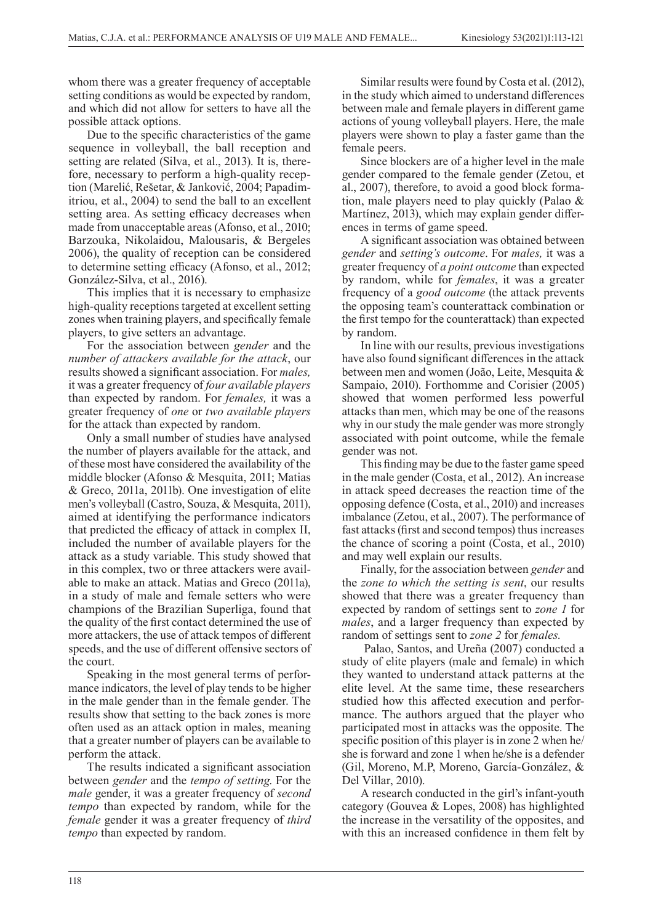whom there was a greater frequency of acceptable setting conditions as would be expected by random, and which did not allow for setters to have all the possible attack options.

Due to the specific characteristics of the game sequence in volleyball, the ball reception and setting are related (Silva, et al., 2013). It is, therefore, necessary to perform a high-quality reception (Marelić, Rešetar, & Janković, 2004; Papadimitriou, et al., 2004) to send the ball to an excellent setting area. As setting efficacy decreases when made from unacceptable areas (Afonso, et al., 2010; Barzouka, Nikolaidou, Malousaris, & Bergeles 2006), the quality of reception can be considered to determine setting efficacy (Afonso, et al., 2012; González-Silva, et al., 2016).

This implies that it is necessary to emphasize high-quality receptions targeted at excellent setting zones when training players, and specifically female players, to give setters an advantage.

For the association between *gender* and the *number of attackers available for the attack*, our results showed a significant association. For *males,*  it was a greater frequency of *four available players*  than expected by random. For *females,* it was a greater frequency of *one* or *two available players*  for the attack than expected by random.

Only a small number of studies have analysed the number of players available for the attack, and of these most have considered the availability of the middle blocker (Afonso & Mesquita, 2011; Matias & Greco, 2011a, 2011b). One investigation of elite men's volleyball (Castro, Souza, & Mesquita, 2011), aimed at identifying the performance indicators that predicted the efficacy of attack in complex II, included the number of available players for the attack as a study variable. This study showed that in this complex, two or three attackers were available to make an attack. Matias and Greco (2011a), in a study of male and female setters who were champions of the Brazilian Superliga, found that the quality of the first contact determined the use of more attackers, the use of attack tempos of different speeds, and the use of different offensive sectors of the court.

Speaking in the most general terms of performance indicators, the level of play tends to be higher in the male gender than in the female gender. The results show that setting to the back zones is more often used as an attack option in males, meaning that a greater number of players can be available to perform the attack.

The results indicated a significant association between *gender* and the *tempo of setting*. For the *male* gender, it was a greater frequency of *second tempo* than expected by random, while for the *female* gender it was a greater frequency of *third tempo* than expected by random.

Similar results were found by Costa et al. (2012), in the study which aimed to understand differences between male and female players in different game actions of young volleyball players. Here, the male players were shown to play a faster game than the female peers.

Since blockers are of a higher level in the male gender compared to the female gender (Zetou, et al., 2007), therefore, to avoid a good block formation, male players need to play quickly (Palao & Martínez, 2013), which may explain gender differences in terms of game speed.

A significant association was obtained between *gender* and *setting's outcome*. For *males,* it was a greater frequency of *a point outcome* than expected by random, while for *females*, it was a greater frequency of a *good outcome* (the attack prevents the opposing team's counterattack combination or the first tempo for the counterattack) than expected by random.

In line with our results, previous investigations have also found significant differences in the attack between men and women (João, Leite, Mesquita & Sampaio, 2010). Forthomme and Corisier (2005) showed that women performed less powerful attacks than men, which may be one of the reasons why in our study the male gender was more strongly associated with point outcome, while the female gender was not.

This finding may be due to the faster game speed in the male gender (Costa, et al., 2012). An increase in attack speed decreases the reaction time of the opposing defence (Costa, et al., 2010) and increases imbalance (Zetou, et al., 2007). The performance of fast attacks (first and second tempos) thus increases the chance of scoring a point (Costa, et al., 2010) and may well explain our results.

Finally, for the association between *gender* and the *zone to which the setting is sent*, our results showed that there was a greater frequency than expected by random of settings sent to *zone 1* for *males*, and a larger frequency than expected by random of settings sent to *zone 2* for *females.*

 Palao, Santos, and Ureña (2007) conducted a study of elite players (male and female) in which they wanted to understand attack patterns at the elite level. At the same time, these researchers studied how this affected execution and performance. The authors argued that the player who participated most in attacks was the opposite. The specific position of this player is in zone 2 when he/ she is forward and zone 1 when he/she is a defender (Gil, Moreno, M.P, Moreno, García-González, & Del Villar, 2010).

A research conducted in the girl's infant-youth category (Gouvea & Lopes, 2008) has highlighted the increase in the versatility of the opposites, and with this an increased confidence in them felt by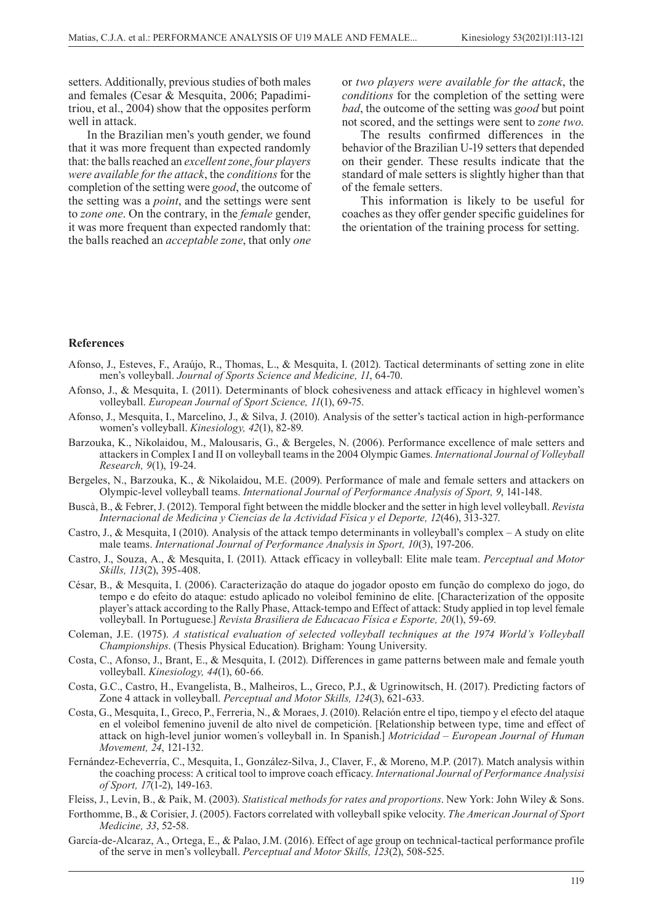setters. Additionally, previous studies of both males and females (Cesar & Mesquita, 2006; Papadimitriou, et al., 2004) show that the opposites perform well in attack.

In the Brazilian men's youth gender, we found that it was more frequent than expected randomly that: the balls reached an *excellent zone*, *four players were available for the attack*, the *conditions* for the completion of the setting were *good*, the outcome of the setting was a *point*, and the settings were sent to *zone one*. On the contrary, in the *female* gender, it was more frequent than expected randomly that: the balls reached an *acceptable zone*, that only *one* or *two players were available for the attack*, the *conditions* for the completion of the setting were *bad*, the outcome of the setting was *good* but point not scored, and the settings were sent to *zone two*.

The results confirmed differences in the behavior of the Brazilian U-19 setters that depended on their gender. These results indicate that the standard of male setters is slightly higher than that of the female setters.

This information is likely to be useful for coaches as they offer gender specific guidelines for the orientation of the training process for setting.

#### **References**

- Afonso, J., Esteves, F., Araújo, R., Thomas, L., & Mesquita, I. (2012). Tactical determinants of setting zone in elite men's volleyball. *Journal of Sports Science and Medicine, 11*, 64-70.
- Afonso, J., & Mesquita, I. (2011). Determinants of block cohesiveness and attack efficacy in highlevel women's volleyball. *European Journal of Sport Science, 11*(1), 69-75.
- Afonso, J., Mesquita, I., Marcelino, J., & Silva, J. (2010). Analysis of the setter's tactical action in high-performance women's volleyball. *Kinesiology, 42*(1), 82-89.
- Barzouka, K., Nikolaidou, M., Malousaris, G., & Bergeles, N. (2006). Performance excellence of male setters and attackers in Complex I and II on volleyball teams in the 2004 Olympic Games. *International Journal of Volleyball Research, 9*(1), 19-24.
- Bergeles, N., Barzouka, K., & Nikolaidou, M.E. (2009). Performance of male and female setters and attackers on Olympic-level volleyball teams. *International Journal of Performance Analysis of Sport, 9*, 141-148.
- Buscà, B., & Febrer, J. (2012). Temporal fight between the middle blocker and the setter in high level volleyball. *Revista Internacional de Medicina y Ciencias de la Actividad Física y el Deporte, 12*(46), 313-327.
- Castro, J., & Mesquita, I (2010). Analysis of the attack tempo determinants in volleyball's complex A study on elite male teams. *International Journal of Performance Analysis in Sport, 10*(3), 197-206.
- Castro, J., Souza, A., & Mesquita, I. (2011). Attack efficacy in volleyball: Elite male team. *Perceptual and Motor Skills, 113*(2), 395-408.
- César, B., & Mesquita, I. (2006). Caracterização do ataque do jogador oposto em função do complexo do jogo, do tempo e do efeito do ataque: estudo aplicado no voleibol feminino de elite. [Characterization of the opposite player's attack according to the Rally Phase, Attack-tempo and Effect of attack: Study applied in top level female volleyball. In Portuguese.] *Revista Brasiliera de Educacao Física e Esporte, 20*(1), 59-69.
- Coleman, J.E. (1975). *A statistical evaluation of selected volleyball techniques at the 1974 World's Volleyball Championships*. (Thesis Physical Education). Brigham: Young University.
- Costa, C., Afonso, J., Brant, E., & Mesquita, I. (2012). Differences in game patterns between male and female youth volleyball. *Kinesiology, 44*(1), 60-66.
- Costa, G.C., Castro, H., Evangelista, B., Malheiros, L., Greco, P.J., & Ugrinowitsch, H. (2017). Predicting factors of Zone 4 attack in volleyball. *Perceptual and Motor Skills, 124*(3), 621-633.
- Costa, G., Mesquita, I., Greco, P., Ferreria, N., & Moraes, J. (2010). Relación entre el tipo, tiempo y el efecto del ataque en el voleibol femenino juvenil de alto nivel de competición. [Relationship between type, time and effect of attack on high-level junior women´s volleyball in. In Spanish.] *Motricidad – European Journal of Human Movement, 24*, 121-132.
- Fernández-Echeverría, C., Mesquita, I., González-Silva, J., Claver, F., & Moreno, M.P. (2017). Match analysis within the coaching process: A critical tool to improve coach efficacy. *International Journal of Performance Analysisi of Sport, 17*(1-2), 149-163.

Fleiss, J., Levin, B., & Paik, M. (2003). *Statistical methods for rates and proportions*. New York: John Wiley & Sons.

- Forthomme, B., & Corisier, J. (2005). Factors correlated with volleyball spike velocity. *The American Journal of Sport Medicine, 33*, 52-58.
- García-de-Alcaraz, A., Ortega, E., & Palao, J.M. (2016). Effect of age group on technical-tactical performance profile of the serve in men's volleyball. *Perceptual and Motor Skills, 123*(2), 508-525.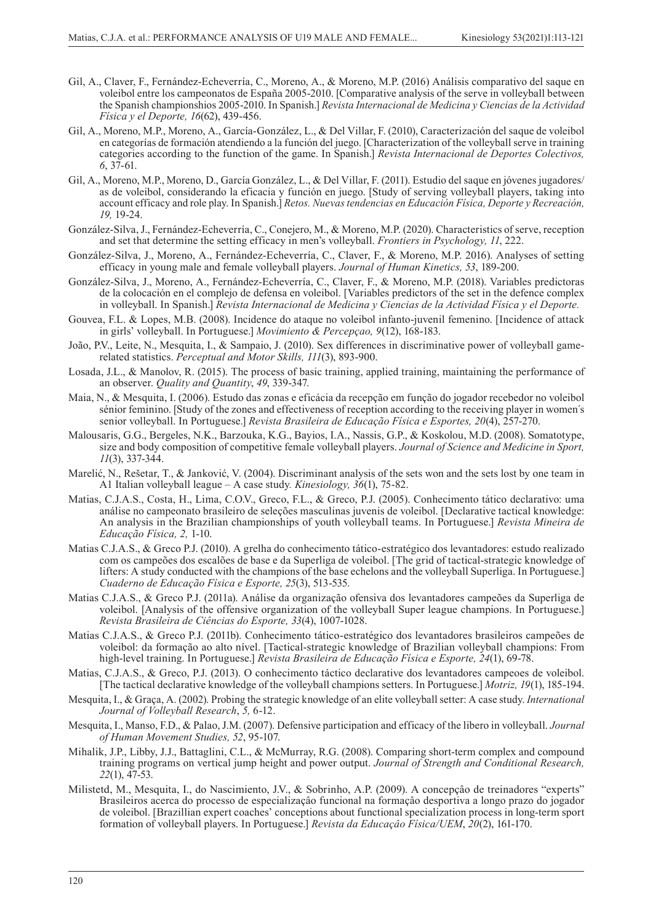- Gil, A., Claver, F., Fernández-Echeverría, C., Moreno, A., & Moreno, M.P. (2016) Análisis comparativo del saque en voleibol entre los campeonatos de España 2005-2010. [Comparative analysis of the serve in volleyball between the Spanish championshios 2005-2010. In Spanish.] *Revista Internacional de Medicina y Ciencias de la Actividad Física y el Deporte, 16*(62), 439-456.
- Gil, A., Moreno, M.P., Moreno, A., García-González, L., & Del Villar, F. (2010), Caracterización del saque de voleibol en categorías de formación atendiendo a la función del juego. [Characterization of the volleyball serve in training categories according to the function of the game. In Spanish.] *Revista Internacional de Deportes Colectivos, 6*, 37-61.
- Gil, A., Moreno, M.P., Moreno, D., García González, L., & Del Villar, F. (2011). Estudio del saque en jóvenes jugadores/ as de voleibol, considerando la eficacia y función en juego. [Study of serving volleyball players, taking into account efficacy and role play. In Spanish.] *Retos. Nuevas tendencias en Educación Física, Deporte y Recreación, 19,* 19-24.
- González-Silva, J., Fernández-Echeverría, C., Conejero, M., & Moreno, M.P. (2020). Characteristics of serve, reception and set that determine the setting efficacy in men's volleyball. *Frontiers in Psychology, 11*, 222.
- González-Silva, J., Moreno, A., Fernández-Echeverría, C., Claver, F., & Moreno, M.P. 2016). Analyses of setting efficacy in young male and female volleyball players. *Journal of Human Kinetics, 53*, 189-200.
- González-Silva, J., Moreno, A., Fernández-Echeverría, C., Claver, F., & Moreno, M.P. (2018). Variables predictoras de la colocación en el complejo de defensa en voleibol. [Variables predictors of the set in the defence complex in volleyball. In Spanish.] *Revista Internacional de Medicina y Ciencias de la Actividad Física y el Deporte.*
- Gouvea, F.L. & Lopes, M.B. (2008). Incidence do ataque no voleibol infanto-juvenil femenino. [Incidence of attack in girls' volleyball. In Portuguese.] *Movimiento & Percepçao, 9*(12), 168-183.
- João, P.V., Leite, N., Mesquita, I., & Sampaio, J. (2010). Sex differences in discriminative power of volleyball gamerelated statistics. *Perceptual and Motor Skills, 111*(3), 893-900.
- Losada, J.L., & Manolov, R. (2015). The process of basic training, applied training, maintaining the performance of an observer. *Quality and Quantity*, *49*, 339-347.
- Maia, N., & Mesquita, I. (2006). Estudo das zonas e eficácia da recepção em função do jogador recebedor no voleibol sénior feminino. [Study of the zones and effectiveness of reception according to the receiving player in women´s senior volleyball. In Portuguese.] *Revista Brasileira de Educação Física e Esportes, 20*(4), 257-270.
- Malousaris, G.G., Bergeles, N.K., Barzouka, K.G., Bayios, I.A., Nassis, G.P., & Koskolou, M.D. (2008). Somatotype, size and body composition of competitive female volleyball players. *Journal of Science and Medicine in Sport, 11*(3), 337-344.
- Marelić, N., Rešetar, T., & Janković, V. (2004). Discriminant analysis of the sets won and the sets lost by one team in A1 Italian volleyball league – A case study*. Kinesiology, 36*(1), 75-82.
- Matias, C.J.A.S., Costa, H., Lima, C.O.V., Greco, F.L., & Greco, P.J. (2005). Conhecimento tático declarativo: uma análise no campeonato brasileiro de seleções masculinas juvenis de voleibol. [Declarative tactical knowledge: An analysis in the Brazilian championships of youth volleyball teams. In Portuguese.] *Revista Mineira de Educação Física, 2,* 1-10.
- Matias C.J.A.S., & Greco P.J. (2010). A grelha do conhecimento tático-estratégico dos levantadores: estudo realizado com os campeões dos escalões de base e da Superliga de voleibol. [The grid of tactical-strategic knowledge of lifters: A study conducted with the champions of the base echelons and the volleyball Superliga. In Portuguese.] *Cuaderno de Educação Física e Esporte, 25*(3), 513-535.
- Matias C.J.A.S., & Greco P.J. (2011a). Análise da organização ofensiva dos levantadores campeões da Superliga de voleibol. [Analysis of the offensive organization of the volleyball Super league champions. In Portuguese.] *Revista Brasileira de Ciências do Esporte, 33*(4), 1007-1028.
- Matias C.J.A.S., & Greco P.J. (2011b). Conhecimento tático-estratégico dos levantadores brasileiros campeões de voleibol: da formação ao alto nível. [Tactical-strategic knowledge of Brazilian volleyball champions: From high-level training. In Portuguese.] *Revista Brasileira de Educação Física e Esporte, 24*(1), 69-78.
- Matias, C.J.A.S., & Greco, P.J. (2013). O conhecimento táctico declarative dos levantadores campeoes de voleibol. [The tactical declarative knowledge of the volleyball champions setters. In Portuguese.] *Motriz, 19*(1), 185-194.
- Mesquita, I., & Graça, A. (2002). Probing the strategic knowledge of an elite volleyball setter: A case study. *International Journal of Volleyball Research*, *5,* 6-12.
- Mesquita, I., Manso, F.D., & Palao, J.M. (2007). Defensive participation and efficacy of the libero in volleyball. *Journal of Human Movement Studies, 52*, 95-107.
- Mihalik, J.P., Libby, J.J., Battaglini, C.L., & McMurray, R.G. (2008). Comparing short-term complex and compound training programs on vertical jump height and power output. *Journal of Strength and Conditional Research, 22*(1), 47-53.
- Milistetd, M., Mesquita, I., do Nascimiento, J.V., & Sobrinho, A.P. (2009). A concepçâo de treinadores "experts" Brasileiros acerca do processo de especializaçâo funcional na formaçâo desportiva a longo prazo do jogador de voleibol. [Brazillian expert coaches' conceptions about functional specialization process in long-term sport formation of volleyball players. In Portuguese.] *Revista da Educaçâo Física/UEM*, *20*(2), 161-170.